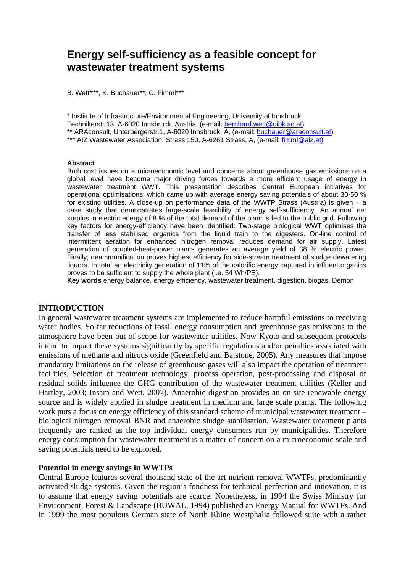# **Energy self-sufficiency as a feasible concept for wastewater treatment systems**

B. Wett\*,\*\*, K. Buchauer\*\*, C. Fimml\*\*\*

\* Institute of Infrastructure/Environmental Engineering, University of Innsbruck Technikerstr.13, A-6020 Innsbruck, Austria, (e-mail: bernhard.wett@uibk.ac.at) \*\* ARAconsult, Unterbergerstr.1, A-6020 Innsbruck, A, (e-mail: buchauer@araconsult.at) \*\*\* AIZ Wastewater Association, Strass 150, A-6261 Strass, A, (e-mail: fimml@aiz.at)

#### **Abstract**

Both cost issues on a microeconomic level and concerns about greenhouse gas emissions on a global level have become major driving forces towards a more efficient usage of energy in wastewater treatment WWT. This presentation describes Central European initiatives for operational optimisations, which came up with average energy saving potentials of about 30-50 % for existing utilities. A close-up on performance data of the WWTP Strass (Austria) is given  $-$  a case study that demonstrates large-scale feasibility of energy self-sufficiency. An annual net surplus in electric energy of 8 % of the total demand of the plant is fed to the public grid. Following key factors for energy-efficiency have been identified: Two-stage biological WWT optimises the transfer of less stabilised organics from the liquid train to the digesters. On-line control of intermittent aeration for enhanced nitrogen removal reduces demand for air supply. Latest generation of coupled-heat-power plants generates an average yield of 38 % electric power. Finally, deammonification proves highest efficiency for side-stream treatment of sludge dewatering liquors. In total an electricity generation of 11% of the calorific energy captured in influent organics proves to be sufficient to supply the whole plant (i.e. 54 Wh/PE).

**Key words** energy balance, energy efficiency, wastewater treatment, digestion, biogas, Demon

### **INTRODUCTION**

In general wastewater treatment systems are implemented to reduce harmful emissions to receiving water bodies. So far reductions of fossil energy consumption and greenhouse gas emissions to the atmosphere have been out of scope for wastewater utilities. Now Kyoto and subsequent protocols intend to impact these systems significantly by specific regulations and/or penalties associated with emissions of methane and nitrous oxide (Greenfield and Batstone, 2005). Any measures that impose mandatory limitations on the release of greenhouse gases will also impact the operation of treatment facilities. Selection of treatment technology, process operation, post-processing and disposal of residual solids influence the GHG contribution of the wastewater treatment utilities (Keller and Hartley, 2003; Insam and Wett, 2007). Anaerobic digestion provides an on-site renewable energy source and is widely applied in sludge treatment in medium and large scale plants. The following work puts a focus on energy efficiency of this standard scheme of municipal wastewater treatment – biological nitrogen removal BNR and anaerobic sludge stabilisation. Wastewater treatment plants frequently are ranked as the top individual energy consumers run by municipalities. Therefore energy consumption for wastewater treatment is a matter of concern on a microeconomic scale and saving potentials need to be explored.

#### **Potential in energy savings in WWTPs**

Central Europe features several thousand state of the art nutrient removal WWTPs, predominantly activated sludge systems. Given the region's fondness for technical perfection and innovation, it is to assume that energy saving potentials are scarce. Nonetheless, in 1994 the Swiss Ministry for Environment, Forest & Landscape (BUWAL, 1994) published an Energy Manual for WWTPs. And in 1999 the most populous German state of North Rhine Westphalia followed suite with a rather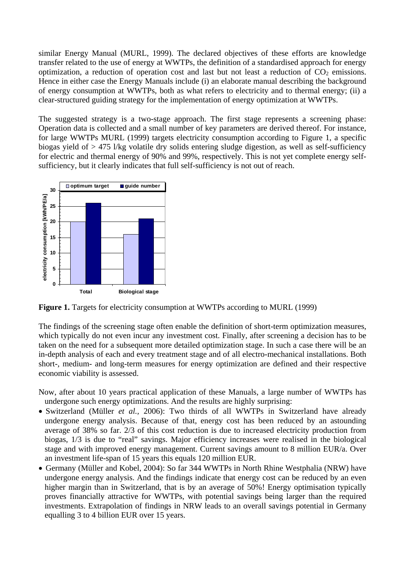similar Energy Manual (MURL, 1999). The declared objectives of these efforts are knowledge transfer related to the use of energy at WWTPs, the definition of a standardised approach for energy optimization, a reduction of operation cost and last but not least a reduction of  $CO<sub>2</sub>$  emissions. Hence in either case the Energy Manuals include (i) an elaborate manual describing the background of energy consumption at WWTPs, both as what refers to electricity and to thermal energy; (ii) a clear-structured guiding strategy for the implementation of energy optimization at WWTPs.

The suggested strategy is a two-stage approach. The first stage represents a screening phase: Operation data is collected and a small number of key parameters are derived thereof. For instance, for large WWTPs MURL (1999) targets electricity consumption according to Figure 1, a specific biogas yield of > 475 l/kg volatile dry solids entering sludge digestion, as well as self-sufficiency for electric and thermal energy of 90% and 99%, respectively. This is not yet complete energy selfsufficiency, but it clearly indicates that full self-sufficiency is not out of reach.



**Figure 1.** Targets for electricity consumption at WWTPs according to MURL (1999)

The findings of the screening stage often enable the definition of short-term optimization measures, which typically do not even incur any investment cost. Finally, after screening a decision has to be taken on the need for a subsequent more detailed optimization stage. In such a case there will be an in-depth analysis of each and every treatment stage and of all electro-mechanical installations. Both short-, medium- and long-term measures for energy optimization are defined and their respective economic viability is assessed.

Now, after about 10 years practical application of these Manuals, a large number of WWTPs has undergone such energy optimizations. And the results are highly surprising:

- Switzerland (Müller *et al.,* 2006): Two thirds of all WWTPs in Switzerland have already undergone energy analysis. Because of that, energy cost has been reduced by an astounding average of 38% so far. 2/3 of this cost reduction is due to increased electricity production from biogas, 1/3 is due to "real" savings. Major efficiency increases were realised in the biological stage and with improved energy management. Current savings amount to 8 million EUR/a. Over an investment life-span of 15 years this equals 120 million EUR.
- Germany (Müller and Kobel, 2004): So far 344 WWTPs in North Rhine Westphalia (NRW) have undergone energy analysis. And the findings indicate that energy cost can be reduced by an even higher margin than in Switzerland, that is by an average of 50%! Energy optimisation typically proves financially attractive for WWTPs, with potential savings being larger than the required investments. Extrapolation of findings in NRW leads to an overall savings potential in Germany equalling 3 to 4 billion EUR over 15 years.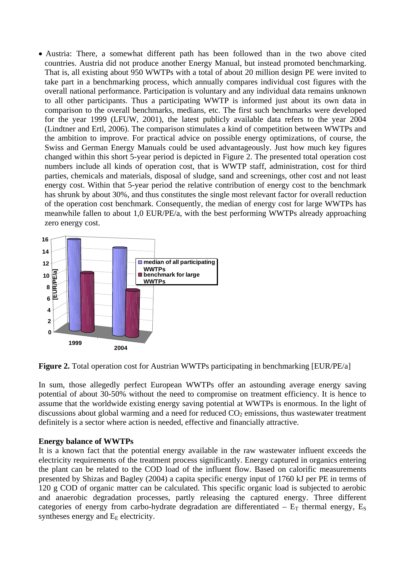• Austria: There, a somewhat different path has been followed than in the two above cited countries. Austria did not produce another Energy Manual, but instead promoted benchmarking. That is, all existing about 950 WWTPs with a total of about 20 million design PE were invited to take part in a benchmarking process, which annually compares individual cost figures with the overall national performance. Participation is voluntary and any individual data remains unknown to all other participants. Thus a participating WWTP is informed just about its own data in comparison to the overall benchmarks, medians, etc. The first such benchmarks were developed for the year 1999 (LFUW, 2001), the latest publicly available data refers to the year 2004 (Lindtner and Ertl, 2006). The comparison stimulates a kind of competition between WWTPs and the ambition to improve. For practical advice on possible energy optimizations, of course, the Swiss and German Energy Manuals could be used advantageously. Just how much key figures changed within this short 5-year period is depicted in Figure 2. The presented total operation cost numbers include all kinds of operation cost, that is WWTP staff, administration, cost for third parties, chemicals and materials, disposal of sludge, sand and screenings, other cost and not least energy cost. Within that 5-year period the relative contribution of energy cost to the benchmark has shrunk by about 30%, and thus constitutes the single most relevant factor for overall reduction of the operation cost benchmark. Consequently, the median of energy cost for large WWTPs has meanwhile fallen to about 1,0 EUR/PE/a, with the best performing WWTPs already approaching zero energy cost.



**Figure 2.** Total operation cost for Austrian WWTPs participating in benchmarking [EUR/PE/a]

In sum, those allegedly perfect European WWTPs offer an astounding average energy saving potential of about 30-50% without the need to compromise on treatment efficiency. It is hence to assume that the worldwide existing energy saving potential at WWTPs is enormous. In the light of discussions about global warming and a need for reduced  $CO<sub>2</sub>$  emissions, thus wastewater treatment definitely is a sector where action is needed, effective and financially attractive.

# **Energy balance of WWTPs**

It is a known fact that the potential energy available in the raw wastewater influent exceeds the electricity requirements of the treatment process significantly. Energy captured in organics entering the plant can be related to the COD load of the influent flow. Based on calorific measurements presented by Shizas and Bagley (2004) a capita specific energy input of 1760 kJ per PE in terms of 120 g COD of organic matter can be calculated. This specific organic load is subjected to aerobic and anaerobic degradation processes, partly releasing the captured energy. Three different categories of energy from carbo-hydrate degradation are differentiated –  $E_T$  thermal energy,  $E_S$ syntheses energy and  $E<sub>E</sub>$  electricity.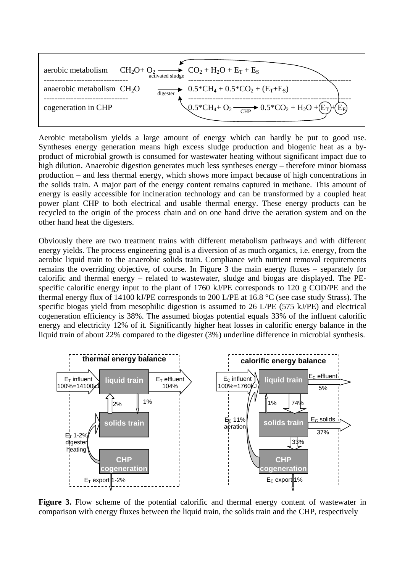

Aerobic metabolism yields a large amount of energy which can hardly be put to good use. Syntheses energy generation means high excess sludge production and biogenic heat as a byproduct of microbial growth is consumed for wastewater heating without significant impact due to high dilution. Anaerobic digestion generates much less syntheses energy – therefore minor biomass production – and less thermal energy, which shows more impact because of high concentrations in the solids train. A major part of the energy content remains captured in methane. This amount of energy is easily accessible for incineration technology and can be transformed by a coupled heat power plant CHP to both electrical and usable thermal energy. These energy products can be recycled to the origin of the process chain and on one hand drive the aeration system and on the other hand heat the digesters.

Obviously there are two treatment trains with different metabolism pathways and with different energy yields. The process engineering goal is a diversion of as much organics, i.e. energy, from the aerobic liquid train to the anaerobic solids train. Compliance with nutrient removal requirements remains the overriding objective, of course. In Figure 3 the main energy fluxes – separately for calorific and thermal energy – related to wastewater, sludge and biogas are displayed. The PEspecific calorific energy input to the plant of 1760 kJ/PE corresponds to 120 g COD/PE and the thermal energy flux of 14100 kJ/PE corresponds to 200 L/PE at 16.8 °C (see case study Strass). The specific biogas yield from mesophilic digestion is assumed to 26 L/PE (575 kJ/PE) and electrical cogeneration efficiency is 38%. The assumed biogas potential equals 33% of the influent calorific energy and electricity 12% of it. Significantly higher heat losses in calorific energy balance in the liquid train of about 22% compared to the digester (3%) underline difference in microbial synthesis.



**Figure 3.** Flow scheme of the potential calorific and thermal energy content of wastewater in comparison with energy fluxes between the liquid train, the solids train and the CHP, respectively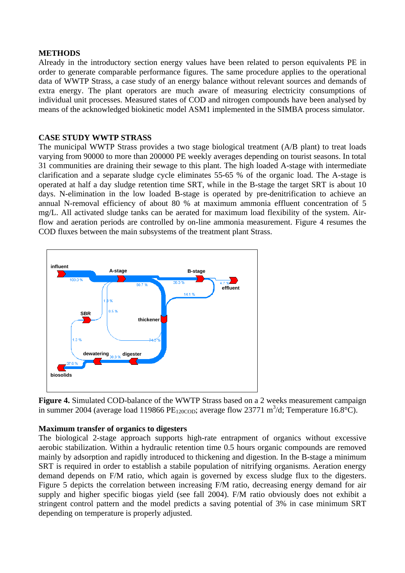### **METHODS**

Already in the introductory section energy values have been related to person equivalents PE in order to generate comparable performance figures. The same procedure applies to the operational data of WWTP Strass, a case study of an energy balance without relevant sources and demands of extra energy. The plant operators are much aware of measuring electricity consumptions of individual unit processes. Measured states of COD and nitrogen compounds have been analysed by means of the acknowledged biokinetic model ASM1 implemented in the SIMBA process simulator.

# **CASE STUDY WWTP STRASS**

The municipal WWTP Strass provides a two stage biological treatment (A/B plant) to treat loads varying from 90000 to more than 200000 PE weekly averages depending on tourist seasons. In total 31 communities are draining their sewage to this plant. The high loaded A-stage with intermediate clarification and a separate sludge cycle eliminates 55-65 % of the organic load. The A-stage is operated at half a day sludge retention time SRT, while in the B-stage the target SRT is about 10 days. N-elimination in the low loaded B-stage is operated by pre-denitrification to achieve an annual N-removal efficiency of about 80 % at maximum ammonia effluent concentration of 5 mg/L. All activated sludge tanks can be aerated for maximum load flexibility of the system. Airflow and aeration periods are controlled by on-line ammonia measurement. Figure 4 resumes the COD fluxes between the main subsystems of the treatment plant Strass.



**Figure 4.** Simulated COD-balance of the WWTP Strass based on a 2 weeks measurement campaign in summer 2004 (average load 119866 PE<sub>120COD</sub>; average flow 23771 m<sup>3</sup>/d; Temperature 16.8°C).

# **Maximum transfer of organics to digesters**

The biological 2-stage approach supports high-rate entrapment of organics without excessive aerobic stabilization. Within a hydraulic retention time 0.5 hours organic compounds are removed mainly by adsorption and rapidly introduced to thickening and digestion. In the B-stage a minimum SRT is required in order to establish a stabile population of nitrifying organisms. Aeration energy demand depends on F/M ratio, which again is governed by excess sludge flux to the digesters. Figure 5 depicts the correlation between increasing F/M ratio, decreasing energy demand for air supply and higher specific biogas yield (see fall 2004). F/M ratio obviously does not exhibit a stringent control pattern and the model predicts a saving potential of 3% in case minimum SRT depending on temperature is properly adjusted.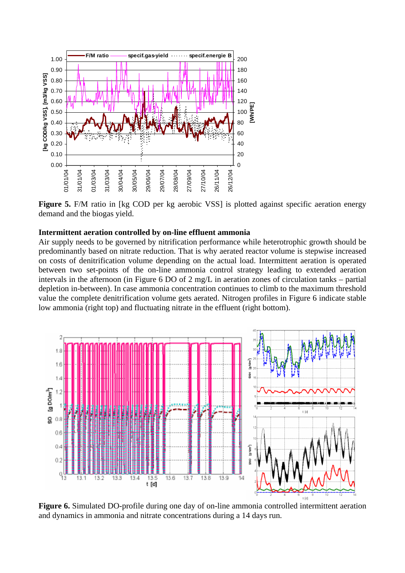

**Figure 5.** F/M ratio in [kg COD per kg aerobic VSS] is plotted against specific aeration energy demand and the biogas yield.

#### **Intermittent aeration controlled by on-line effluent ammonia**

Air supply needs to be governed by nitrification performance while heterotrophic growth should be predominantly based on nitrate reduction. That is why aerated reactor volume is stepwise increased on costs of denitrification volume depending on the actual load. Intermittent aeration is operated between two set-points of the on-line ammonia control strategy leading to extended aeration intervals in the afternoon (in Figure 6 DO of 2 mg/L in aeration zones of circulation tanks – partial depletion in-between). In case ammonia concentration continues to climb to the maximum threshold value the complete denitrification volume gets aerated. Nitrogen profiles in Figure 6 indicate stable low ammonia (right top) and fluctuating nitrate in the effluent (right bottom).



**Figure 6.** Simulated DO-profile during one day of on-line ammonia controlled intermittent aeration and dynamics in ammonia and nitrate concentrations during a 14 days run.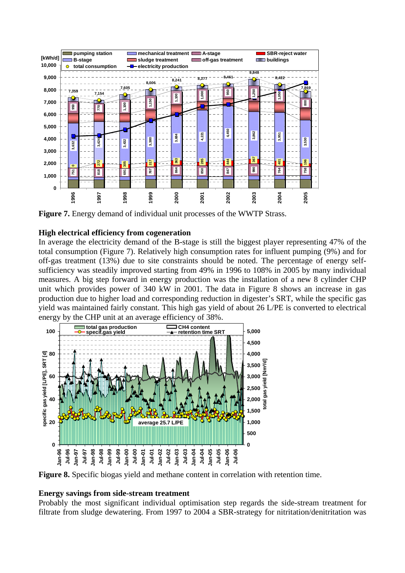

**Figure 7.** Energy demand of individual unit processes of the WWTP Strass.

# **High electrical efficiency from cogeneration**

In average the electricity demand of the B-stage is still the biggest player representing 47% of the total consumption (Figure 7). Relatively high consumption rates for influent pumping (9%) and for off-gas treatment (13%) due to site constraints should be noted. The percentage of energy selfsufficiency was steadily improved starting from 49% in 1996 to 108% in 2005 by many individual measures. A big step forward in energy production was the installation of a new 8 cylinder CHP unit which provides power of 340 kW in 2001. The data in Figure 8 shows an increase in gas production due to higher load and corresponding reduction in digester's SRT, while the specific gas yield was maintained fairly constant. This high gas yield of about 26 L/PE is converted to electrical energy by the CHP unit at an average efficiency of 38%.



**Figure 8.** Specific biogas yield and methane content in correlation with retention time.

### **Energy savings from side-stream treatment**

Probably the most significant individual optimisation step regards the side-stream treatment for filtrate from sludge dewatering. From 1997 to 2004 a SBR-strategy for nitritation/denitritation was